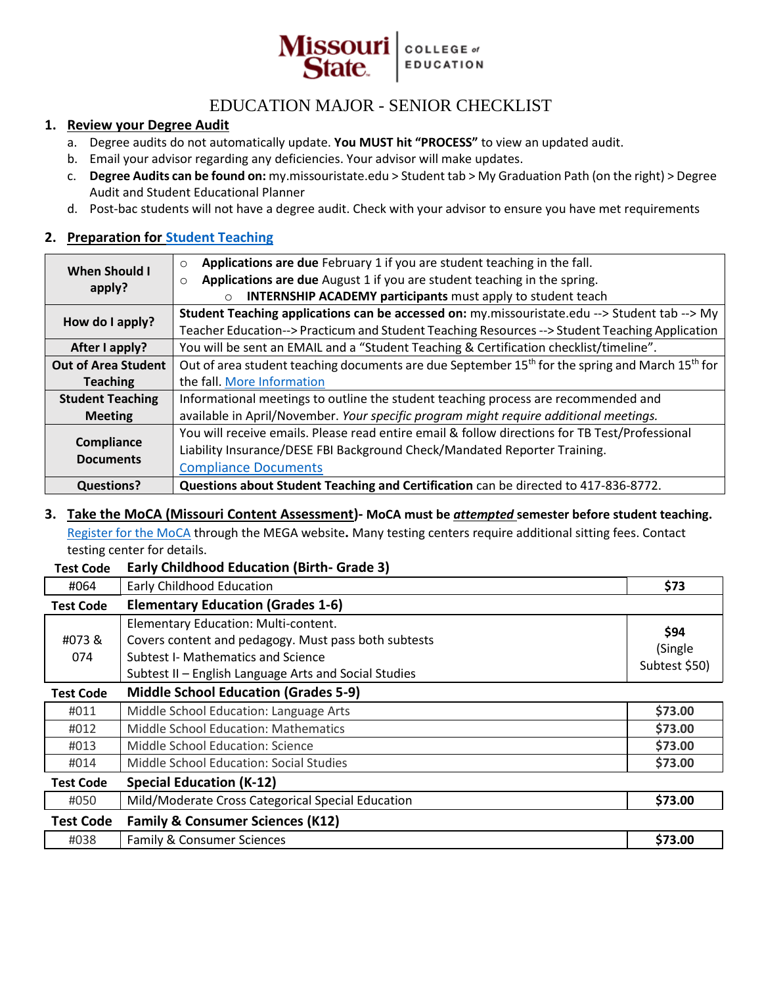

# EDUCATION MAJOR - SENIOR CHECKLIST

## **1. Review your Degree Audit**

- a. Degree audits do not automatically update. **You MUST hit "PROCESS"** to view an updated audit.
- b. Email your advisor regarding any deficiencies. Your advisor will make updates.
- c. **Degree Audits can be found on:** my.missouristate.edu > Student tab > My Graduation Path (on the right) > Degree Audit and Student Educational Planner
- d. Post-bac students will not have a degree audit. Check with your advisor to ensure you have met requirements

## **2. Preparation for [Student Teaching](https://www.missouristate.edu/professionaled/studentteaching/)**

| <b>When Should I</b><br>apply? | Applications are due February 1 if you are student teaching in the fall.<br>$\circ$                                     |  |
|--------------------------------|-------------------------------------------------------------------------------------------------------------------------|--|
|                                | Applications are due August 1 if you are student teaching in the spring.<br>$\circ$                                     |  |
|                                | <b>INTERNSHIP ACADEMY participants</b> must apply to student teach<br>$\circ$                                           |  |
| How do I apply?                | Student Teaching applications can be accessed on: my.missouristate.edu --> Student tab --> My                           |  |
|                                | Teacher Education--> Practicum and Student Teaching Resources --> Student Teaching Application                          |  |
| After I apply?                 | You will be sent an EMAIL and a "Student Teaching & Certification checklist/timeline".                                  |  |
| <b>Out of Area Student</b>     | Out of area student teaching documents are due September 15 <sup>th</sup> for the spring and March 15 <sup>th</sup> for |  |
| <b>Teaching</b>                | the fall. More Information                                                                                              |  |
| <b>Student Teaching</b>        | Informational meetings to outline the student teaching process are recommended and                                      |  |
| <b>Meeting</b>                 | available in April/November. Your specific program might require additional meetings.                                   |  |
| Compliance<br><b>Documents</b> | You will receive emails. Please read entire email & follow directions for TB Test/Professional                          |  |
|                                | Liability Insurance/DESE FBI Background Check/Mandated Reporter Training.                                               |  |
|                                | <b>Compliance Documents</b>                                                                                             |  |
| <b>Questions?</b>              | Questions about Student Teaching and Certification can be directed to 417-836-8772.                                     |  |

## **3. Take the MoCA (Missouri Content Assessment)- MoCA must be** *attempted* **semester before student teaching.**

[Register for](http://www.mo.nesinc.com/PageView.aspx?f=GEN_Tests.html) the MoCA through the MEGA website**.** Many testing centers require additional sitting fees. Contact testing center for details.

#### **Test Code Early Childhood Education (Birth- Grade 3)**

| #064             | Early Childhood Education                                                                                                                                                                          | \$73                             |
|------------------|----------------------------------------------------------------------------------------------------------------------------------------------------------------------------------------------------|----------------------------------|
| <b>Test Code</b> | <b>Elementary Education (Grades 1-6)</b>                                                                                                                                                           |                                  |
| #073&<br>074     | Elementary Education: Multi-content.<br>Covers content and pedagogy. Must pass both subtests<br><b>Subtest I- Mathematics and Science</b><br>Subtest II - English Language Arts and Social Studies | \$94<br>(Single<br>Subtest \$50) |
| <b>Test Code</b> | <b>Middle School Education (Grades 5-9)</b>                                                                                                                                                        |                                  |
| #011             | Middle School Education: Language Arts                                                                                                                                                             | \$73.00                          |
| #012             | <b>Middle School Education: Mathematics</b>                                                                                                                                                        | \$73.00                          |
| #013             | Middle School Education: Science                                                                                                                                                                   | \$73.00                          |
| #014             | Middle School Education: Social Studies                                                                                                                                                            | \$73.00                          |
| Test Code        | <b>Special Education (K-12)</b>                                                                                                                                                                    |                                  |
| #050             | Mild/Moderate Cross Categorical Special Education                                                                                                                                                  | \$73.00                          |
| <b>Test Code</b> | <b>Family &amp; Consumer Sciences (K12)</b>                                                                                                                                                        |                                  |
| #038             | <b>Family &amp; Consumer Sciences</b>                                                                                                                                                              | \$73.00                          |